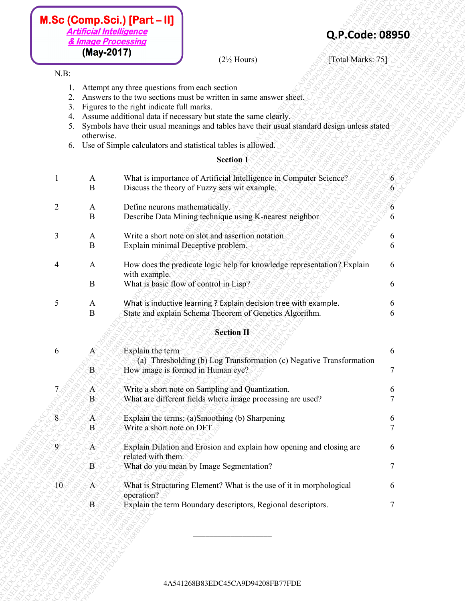- 1. Attempt any three questions from each section
- 2. Answers to the two sections must be written in same answer sheet.
- 3. Figures to the right indicate full marks.
- 4. Assume additional data if necessary but state the same clearly.
- 5. Symbols have their usual meanings and tables have their usual standard design unless stated otherwise.
- 6. Use of Simple calculators and statistical tables is allowed.

## **Section I**

| (May-2017)<br>$(2\frac{1}{2}$ Hours)<br>[Total Marks: 75]<br>$N.B$ :<br>Attempt any three questions from each section<br>Answers to the two sections must be written in same answer sheet.<br>2.<br>Figures to the right indicate full marks.<br>3.<br>Assume additional data if necessary but state the same clearly.<br>4.<br>Symbols have their usual meanings and tables have their usual standard design unless stated<br>5.<br>otherwise.<br>Use of Simple calculators and statistical tables is allowed.<br>6.<br><b>Section I</b><br>What is importance of Artificial Intelligence in Computer Science?<br>A<br>$\bf{B}$<br>Discuss the theory of Fuzzy sets wit example.<br>$\overline{2}$<br>Define neurons mathematically.<br>6<br>$\mathbf{A}$<br>$\bf{B}$<br>Describe Data Mining technique using K-nearest neighbor<br>6<br>$\mathfrak{Z}$<br>Write a short note on slot and assertion notation<br>$\mathbf{A}$<br>6<br>$\bf{B}$<br>Explain minimal Deceptive problem.<br>6<br>How does the predicate logic help for knowledge representation? Explain<br>Δ<br>Α<br>6<br>with example.<br>What is basic flow of control in Lisp?<br>B<br>6<br>$\mathfrak{S}$<br>What is inductive learning ? Explain decision tree with example.<br>A<br>6<br>$\bf{B}$<br>State and explain Schema Theorem of Genetics Algorithm.<br>6<br><b>Section II</b><br>Explain the term<br>6<br>6<br>A<br>(a) Thresholding (b) Log Transformation (c) Negative Transformation<br>How image is formed in Human eye?<br>7<br>$\mathbf{B}$<br>Write a short note on Sampling and Quantization.<br>7<br>$\mathbf{A}$<br>6<br>What are different fields where image processing are used?<br>$\mathbf{B}$<br>8<br>Explain the terms: (a)Smoothing (b) Sharpening<br>$\mathbf{A}_1$<br>6<br>Write a short note on DFT<br>7<br>$\bf{B}$<br>Explain Dilation and Erosion and explain how opening and closing are<br>$\mathbf{9}$<br>$A^-$<br>6<br>related with them.<br>$\tau$<br>$\mathbf{B}$<br>What do you mean by Image Segmentation?<br>10 <sub>1</sub><br>What is Structuring Element? What is the use of it in morphological<br>$A^{\!\scriptscriptstyle \times}$<br>6<br>operation?<br>Explain the term Boundary descriptors, Regional descriptors.<br>$\mathbf{B}$<br>7 |  |
|---------------------------------------------------------------------------------------------------------------------------------------------------------------------------------------------------------------------------------------------------------------------------------------------------------------------------------------------------------------------------------------------------------------------------------------------------------------------------------------------------------------------------------------------------------------------------------------------------------------------------------------------------------------------------------------------------------------------------------------------------------------------------------------------------------------------------------------------------------------------------------------------------------------------------------------------------------------------------------------------------------------------------------------------------------------------------------------------------------------------------------------------------------------------------------------------------------------------------------------------------------------------------------------------------------------------------------------------------------------------------------------------------------------------------------------------------------------------------------------------------------------------------------------------------------------------------------------------------------------------------------------------------------------------------------------------------------------------------------------------------------------------------------------------------------------------------------------------------------------------------------------------------------------------------------------------------------------------------------------------------------------------------------------------------------------------------------------------------------------------------------------------------------------------------------------------------------------------------------------------------------------|--|
|                                                                                                                                                                                                                                                                                                                                                                                                                                                                                                                                                                                                                                                                                                                                                                                                                                                                                                                                                                                                                                                                                                                                                                                                                                                                                                                                                                                                                                                                                                                                                                                                                                                                                                                                                                                                                                                                                                                                                                                                                                                                                                                                                                                                                                                               |  |
|                                                                                                                                                                                                                                                                                                                                                                                                                                                                                                                                                                                                                                                                                                                                                                                                                                                                                                                                                                                                                                                                                                                                                                                                                                                                                                                                                                                                                                                                                                                                                                                                                                                                                                                                                                                                                                                                                                                                                                                                                                                                                                                                                                                                                                                               |  |
|                                                                                                                                                                                                                                                                                                                                                                                                                                                                                                                                                                                                                                                                                                                                                                                                                                                                                                                                                                                                                                                                                                                                                                                                                                                                                                                                                                                                                                                                                                                                                                                                                                                                                                                                                                                                                                                                                                                                                                                                                                                                                                                                                                                                                                                               |  |
|                                                                                                                                                                                                                                                                                                                                                                                                                                                                                                                                                                                                                                                                                                                                                                                                                                                                                                                                                                                                                                                                                                                                                                                                                                                                                                                                                                                                                                                                                                                                                                                                                                                                                                                                                                                                                                                                                                                                                                                                                                                                                                                                                                                                                                                               |  |
|                                                                                                                                                                                                                                                                                                                                                                                                                                                                                                                                                                                                                                                                                                                                                                                                                                                                                                                                                                                                                                                                                                                                                                                                                                                                                                                                                                                                                                                                                                                                                                                                                                                                                                                                                                                                                                                                                                                                                                                                                                                                                                                                                                                                                                                               |  |
|                                                                                                                                                                                                                                                                                                                                                                                                                                                                                                                                                                                                                                                                                                                                                                                                                                                                                                                                                                                                                                                                                                                                                                                                                                                                                                                                                                                                                                                                                                                                                                                                                                                                                                                                                                                                                                                                                                                                                                                                                                                                                                                                                                                                                                                               |  |
|                                                                                                                                                                                                                                                                                                                                                                                                                                                                                                                                                                                                                                                                                                                                                                                                                                                                                                                                                                                                                                                                                                                                                                                                                                                                                                                                                                                                                                                                                                                                                                                                                                                                                                                                                                                                                                                                                                                                                                                                                                                                                                                                                                                                                                                               |  |
|                                                                                                                                                                                                                                                                                                                                                                                                                                                                                                                                                                                                                                                                                                                                                                                                                                                                                                                                                                                                                                                                                                                                                                                                                                                                                                                                                                                                                                                                                                                                                                                                                                                                                                                                                                                                                                                                                                                                                                                                                                                                                                                                                                                                                                                               |  |
|                                                                                                                                                                                                                                                                                                                                                                                                                                                                                                                                                                                                                                                                                                                                                                                                                                                                                                                                                                                                                                                                                                                                                                                                                                                                                                                                                                                                                                                                                                                                                                                                                                                                                                                                                                                                                                                                                                                                                                                                                                                                                                                                                                                                                                                               |  |
|                                                                                                                                                                                                                                                                                                                                                                                                                                                                                                                                                                                                                                                                                                                                                                                                                                                                                                                                                                                                                                                                                                                                                                                                                                                                                                                                                                                                                                                                                                                                                                                                                                                                                                                                                                                                                                                                                                                                                                                                                                                                                                                                                                                                                                                               |  |
|                                                                                                                                                                                                                                                                                                                                                                                                                                                                                                                                                                                                                                                                                                                                                                                                                                                                                                                                                                                                                                                                                                                                                                                                                                                                                                                                                                                                                                                                                                                                                                                                                                                                                                                                                                                                                                                                                                                                                                                                                                                                                                                                                                                                                                                               |  |
|                                                                                                                                                                                                                                                                                                                                                                                                                                                                                                                                                                                                                                                                                                                                                                                                                                                                                                                                                                                                                                                                                                                                                                                                                                                                                                                                                                                                                                                                                                                                                                                                                                                                                                                                                                                                                                                                                                                                                                                                                                                                                                                                                                                                                                                               |  |
|                                                                                                                                                                                                                                                                                                                                                                                                                                                                                                                                                                                                                                                                                                                                                                                                                                                                                                                                                                                                                                                                                                                                                                                                                                                                                                                                                                                                                                                                                                                                                                                                                                                                                                                                                                                                                                                                                                                                                                                                                                                                                                                                                                                                                                                               |  |
|                                                                                                                                                                                                                                                                                                                                                                                                                                                                                                                                                                                                                                                                                                                                                                                                                                                                                                                                                                                                                                                                                                                                                                                                                                                                                                                                                                                                                                                                                                                                                                                                                                                                                                                                                                                                                                                                                                                                                                                                                                                                                                                                                                                                                                                               |  |
|                                                                                                                                                                                                                                                                                                                                                                                                                                                                                                                                                                                                                                                                                                                                                                                                                                                                                                                                                                                                                                                                                                                                                                                                                                                                                                                                                                                                                                                                                                                                                                                                                                                                                                                                                                                                                                                                                                                                                                                                                                                                                                                                                                                                                                                               |  |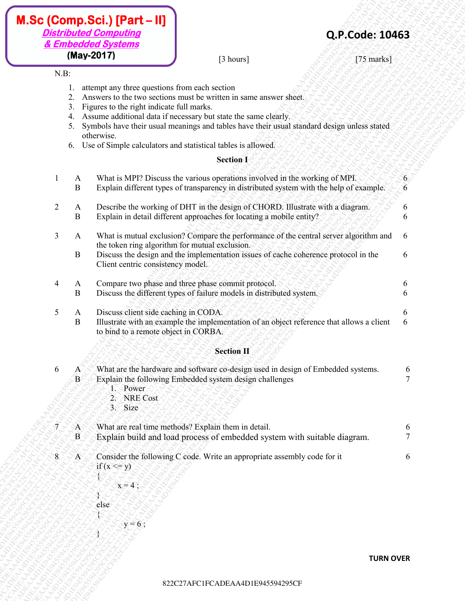- 1. attempt any three questions from each section
- 2. Answers to the two sections must be written in same answer sheet.
- 3. Figures to the right indicate full marks.
- 4. Assume additional data if necessary but state the same clearly.
- 5. Symbols have their usual meanings and tables have their usual standard design unless stated otherwise.
- 6. Use of Simple calculators and statistical tables is allowed.

## **Section I**

|                             |                                                             | <b>Distributed Computing</b><br>& Embedded Systems                                                       |                                                                                                                                                                                                                                                                                                                                                                                                                                                                                                                                                                                     | Q.P.Code: 10463  |                     |
|-----------------------------|-------------------------------------------------------------|----------------------------------------------------------------------------------------------------------|-------------------------------------------------------------------------------------------------------------------------------------------------------------------------------------------------------------------------------------------------------------------------------------------------------------------------------------------------------------------------------------------------------------------------------------------------------------------------------------------------------------------------------------------------------------------------------------|------------------|---------------------|
| $N.B$ :                     |                                                             | (May-2017)                                                                                               | [3 hours]                                                                                                                                                                                                                                                                                                                                                                                                                                                                                                                                                                           | [75 marks]       |                     |
| $\overline{2}$              | 2.<br>3.<br>4.<br>5.<br>6.<br>A<br>$\bf{B}$<br>$\mathbf{A}$ | attempt any three questions from each section<br>Figures to the right indicate full marks.<br>otherwise. | Answers to the two sections must be written in same answer sheet.<br>Assume additional data if necessary but state the same clearly.<br>Symbols have their usual meanings and tables have their usual standard design unless stated<br>Use of Simple calculators and statistical tables is allowed.<br><b>Section I</b><br>What is MPI? Discuss the various operations involved in the working of MPI.<br>Explain different types of transparency in distributed system with the help of example.<br>Describe the working of DHT in the design of CHORD. Illustrate with a diagram. |                  | 6<br>b              |
| 3                           | B<br>$\mathbf{A}$<br>B                                      | Client centric consistency model.                                                                        | Explain in detail different approaches for locating a mobile entity?<br>What is mutual exclusion? Compare the performance of the central server algorithm and<br>the token ring algorithm for mutual exclusion.<br>Discuss the design and the implementation issues of cache coherence protocol in the                                                                                                                                                                                                                                                                              |                  | 6<br>6<br>6         |
| $\overline{4}$              | $\mathbf{A}$<br>$\bf{B}$                                    |                                                                                                          | Compare two phase and three phase commit protocol.<br>Discuss the different types of failure models in distributed system.                                                                                                                                                                                                                                                                                                                                                                                                                                                          |                  | 6<br>6              |
| $\mathfrak{S}$              | $\mathbf{A}$<br>$\bf{B}$                                    | Discuss client side caching in CODA.<br>to bind to a remote object in CORBA.                             | Illustrate with an example the implementation of an object reference that allows a client                                                                                                                                                                                                                                                                                                                                                                                                                                                                                           |                  | 6                   |
|                             |                                                             |                                                                                                          | <b>Section II</b>                                                                                                                                                                                                                                                                                                                                                                                                                                                                                                                                                                   |                  |                     |
| 6                           | A<br>$\mathbf{B}$                                           | 1. Power<br>$2^\circ$<br><b>NRE</b> Cost<br>3. Size                                                      | What are the hardware and software co-design used in design of Embedded systems.<br>Explain the following Embedded system design challenges                                                                                                                                                                                                                                                                                                                                                                                                                                         |                  | 6<br>$\overline{7}$ |
| $\widetilde{\mathcal{J}}$ : | $\mathbf{A}$<br>B                                           |                                                                                                          | What are real time methods? Explain them in detail.<br>Explain build and load process of embedded system with suitable diagram.                                                                                                                                                                                                                                                                                                                                                                                                                                                     |                  | 6<br>$\overline{7}$ |
| 8                           | 'A                                                          | if $(x \le y)$<br>$x=4$ ;<br>else<br>$y=6$ ;                                                             | Consider the following C code. Write an appropriate assembly code for it                                                                                                                                                                                                                                                                                                                                                                                                                                                                                                            |                  | 6                   |
|                             |                                                             |                                                                                                          |                                                                                                                                                                                                                                                                                                                                                                                                                                                                                                                                                                                     | <b>TURN OVER</b> |                     |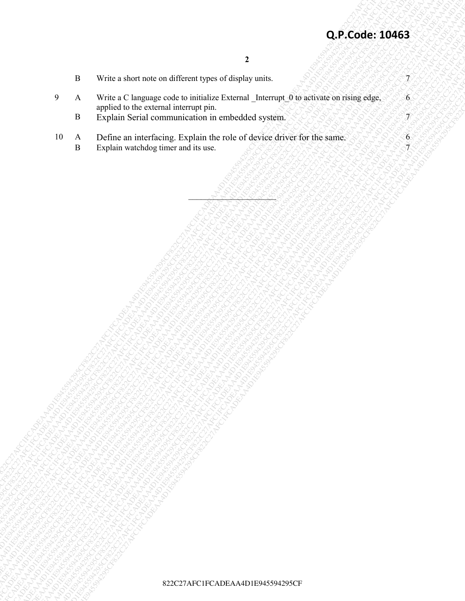$6<sub>1</sub>$ 

- B Write a short note on different types of display units.
- **Q.P.Code: 10463**<br>
B Wike a Source incompanies content and the tourist prop.<br>
9 A Wike a Character content and content and content and content and content and content and content and content<br>
10 A Define with the space of 82<br>
82<br>
22 C27AFC Homes Journal Communications and the mediatric Experimental Communications and the mediatric Capacity of the mediatric Capacity of the mediatric Capacity of the mediatric Capacity of the mediatric Capacit 822C27AFC1FCADEAA4D1E945594295CF822C27AFC1FCADEAA4D1E945594295CF822C27AFC1FCADEAA4D1E945594295CF822C27AFC1FCADEAA4D1E945594295CF822C27AFC1FCADEAA4D1E945594295CF822C27AFC1FCADEAA4D1E945594295CF **Q.P.Code: 10463**<br>
82<br>
Process in Version (and the constraint process in the constraint process in the constraint process in the constraint process in a constraint process in the constraint process in the constraint of the 822C27AFCOde: 10463<br>
822C27AFC1FCADEAA4D1E94594429542<br>
9 A North Carl Farmer (metallican activity the control of control of explorer activity to the same<br>
10 A Definite National Carl Farmer activity that is entirely activi 822C27AFC1FCADEAA4D1E945594295CF822C27AFC1FCADEAA4D1E945594295CF822C27AFC1FCADEAA4D1E945594295CF822C27AFC1FCADEAA4D1E945594295CF822C27AFC1FCADEAA4D1E945594295CF822C27AFC1FCADEAA4D1E945594295CF 822C27AFC1FCADEAA4D1E945594295CF822C27AFC1FCADEAA4D1E945594295CF822C27AFC1FCADEAA4D1E945594295CF822C27AFC1FCADEAA4D1E945594295CF822C27AFC1FCADEAA4D1E945594295CF822C27AFC1FCADEAA4D1E945594295CF 822C27AFC1FCADEAA4D1E945594295CF822C27AFC1FCADEAA4D1E945594295CF822C27AFC1FCADEAA4D1E945594295CF822C27AFC1FCADEAA4D1E945594295CF822C27AFC1FCADEAA4D1E945594295CF822C27AFC1FCADEAA4D1E945594295CF 822C27AFC1FCADEAA4D1E945594295CF822C27AFC1FCADEAA4D1E945594295CF822C27AFC1FCADEAA4D1E945594295CF822C27AFC1FCADEAA4D1E945594295CF822C27AFC1FCADEAA4D1E945594295CF822C27AFC1FCADEAA4D1E945594295CF 822C27AFC1FCADEAA4D1E945594295CF822C27AFC1FCADEAA4D1E945594295CF822C27AFC1FCADEAA4D1E945594295CF822C27AFC1FCADEAA4D1E945594295CF822C27AFC1FCADEAA4D1E945594295CF822C27AFC1FCADEAA4D1E945594295CF 822C27AFC1FCADEAA4D1E945594295CF822C27AFC1FCADEAA4D1E945594295CF822C27AFC1FCADEAA4D1E945594295CF822C27AFC1FCADEAA4D1E945594295CF822C27AFC1FCADEAA4D1E945594295CF822C27AFC1FCADEAA4D1E945594295CF 822C27AFC1FCADEAA4D1E945594295CF822C27AFC1FCADEAA4D1E945594295CF822C27AFC1FCADEAA4D1E945594295CF822C27AFC1FCADEAA4D1E945594295CF822C27AFC1FCADEAA4D1E945594295CF822C27AFC1FCADEAA4D1E945594295CF 822C27AFC1FCADEAA4D1E945594295CF822C27AFC1FCADEAA4D1E945594295CF822C27AFC1FCADEAA4D1E945594295CF822C27AFC1FCADEAA4D1E945594295CF822C27AFC1FCADEAA4D1E945594295CF822C27AFC1FCADEAA4D1E945594295CF 822C27AFC1FCADEAA4D1E945594295CF822C27AFC1FCADEAA4D1E945594295CF822C27AFC1FCADEAA4D1E945594295CF822C27AFC1FCADEAA4D1E945594295CF822C27AFC1FCADEAA4D1E945594295CF822C27AFC1FCADEAA4D1E945594295CF **22**<br>
822C27AFC1FCADEAA4D1E945942C27AFC1FCADEAA4D1E94542C7AFC1FCADEAA4D1E9454CF822C27AFC1FCADEAA4D1E9454CF82C27AFC1FCADEAA4D1E945745945745944594454459445944574594574594545944544594594545945459454594545945459454594545945459 822 C27AFC1FCADEAA4D1E9455945942CF822C27AFCADEAA4D1E9455945942C27AFC1FCADEAA4D1E9455942<br>
8 November of the control through the control through the control through the control through the control through the control through 822C27AFC1FCADEAA4D1E945594295CF822C27AFC1FCADEAA4D1E945594295CF822C27AFC1FCADEAA4D1E945594295CF822C27AFC1FCADEAA4D1E945594295CF822C27AFC1FCADEAA4D1E945594295CF822C27AFC1FCADEAA4D1E945594295CF 822C27AFC1FCADEAA4D1E945594295CF822C27AFC1FCADEAA4D1E945594295CF822C27AFC1FCADEAA4D1E945594295CF822C27AFC1FCADEAA4D1E945594295CF822C27AFC1FCADEAA4D1E945594295CF822C27AFC1FCADEAA4D1E945594295CF **C2P.Code: 10463**<br>
822C27AFC1FCADEAA4D1E945955617AFC1FCADEAA4D1E9457495CF82<br>
92C27AFC1FCADEAA4D1E9455942C27AFC1FCADEAA4D1E945742C27AFC1FCADEAA4D1E9454745942<br>
10 A Distribus Perfective Constructions with constructed aafroid **Q.P.Code: 10463**<br>
R. Write a Cancer on different types of develop and a<br>
P. A. Write a Cancer of the constraint a base of each of the company of the constraint and constraint and constraint and constraint and constraints 9 A Write a C language code to initialize External \_Interrupt\_0 to activate on rising edge, applied to the external interrupt pin.

\_\_\_\_\_\_\_\_\_\_\_\_\_\_\_\_\_\_\_\_\_

- B Explain Serial communication in embedded system.  $35555555557$
- 10 A Define an interfacing. Explain the role of device driver for the same. 8 Explain watchdog timer and its use. Explain watchdog timer and its use.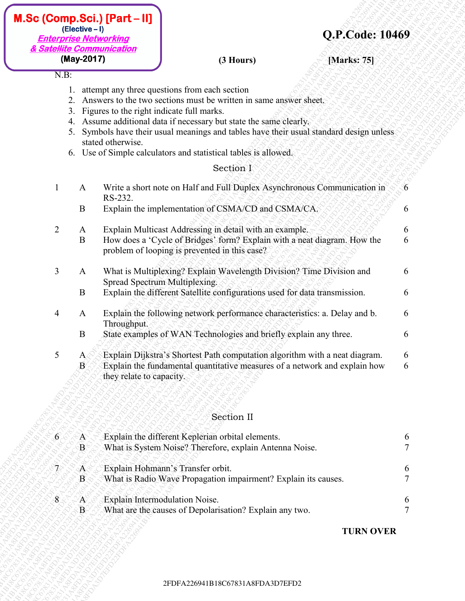| $M.Sc$ (Comp.Sci.) $[Part-I]$ |
|-------------------------------|
| $(Electric - I)$              |
| <b>Enterprise Networking</b>  |
| & Satellite Communication     |
| (May-2017)                    |

# N.B:

- 1. attempt any three questions from each section
- 2. Answers to the two sections must be written in same answer sheet.
- 3. Figures to the right indicate full marks.
- 4. Assume additional data if necessary but state the same clearly.
- 5. Symbols have their usual meanings and tables have their usual standard design unless stated otherwise.
- 6. Use of Simple calculators and statistical tables is allowed.

# Section I

|                                                                                 |                                                                                                                            | & Satellite Communication                                                                                |                                                                                                                                                                                                                                                                                                                                                                                                                                                                                                                                                                                                                                                                                                                                                                                                                                                                                                                                                                                                                                                                                                                                                                                                            |                  |                                                |
|---------------------------------------------------------------------------------|----------------------------------------------------------------------------------------------------------------------------|----------------------------------------------------------------------------------------------------------|------------------------------------------------------------------------------------------------------------------------------------------------------------------------------------------------------------------------------------------------------------------------------------------------------------------------------------------------------------------------------------------------------------------------------------------------------------------------------------------------------------------------------------------------------------------------------------------------------------------------------------------------------------------------------------------------------------------------------------------------------------------------------------------------------------------------------------------------------------------------------------------------------------------------------------------------------------------------------------------------------------------------------------------------------------------------------------------------------------------------------------------------------------------------------------------------------------|------------------|------------------------------------------------|
|                                                                                 | (May-2017)                                                                                                                 |                                                                                                          | (3 Hours)                                                                                                                                                                                                                                                                                                                                                                                                                                                                                                                                                                                                                                                                                                                                                                                                                                                                                                                                                                                                                                                                                                                                                                                                  | [Marks: 75]      |                                                |
| $N.B$ :<br>$\overline{2}$<br>$\overline{3}$<br>$\overline{4}$<br>5 <sup>5</sup> | 2.<br>3.<br>4.<br>5.<br>$\mathbf{A}$<br>B<br>A<br>B<br>$\mathbf{A}$<br>B<br>$\mathbf{A}$<br>B<br>$A_{\leq}$<br>$\mathbf B$ | stated otherwise.<br>RS-232.<br>Spread Spectrum Multiplexing.<br>Throughput.<br>they relate to capacity. | attempt any three questions from each section<br>Answers to the two sections must be written in same answer sheet.<br>Figures to the right indicate full marks.<br>Assume additional data if necessary but state the same clearly.<br>Symbols have their usual meanings and tables have their usual standard design unless<br>6. Use of Simple calculators and statistical tables is allowed.<br>Section I<br>Write a short note on Half and Full Duplex Asynchronous Communication in<br>Explain the implementation of CSMA/CD and CSMA/CA.<br>Explain Multicast Addressing in detail with an example.<br>How does a 'Cycle of Bridges' form? Explain with a neat diagram. How the<br>problem of looping is prevented in this case?<br>What is Multiplexing? Explain Wavelength Division? Time Division and<br>Explain the different Satellite configurations used for data transmission.<br>Explain the following network performance characteristics: a. Delay and b.<br>State examples of WAN Technologies and briefly explain any three.<br>Explain Dijkstra's Shortest Path computation algorithm with a neat diagram.<br>Explain the fundamental quantitative measures of a network and explain how |                  | 6<br>6<br>6<br>6<br>6<br>6<br>6<br>6<br>6<br>6 |
|                                                                                 |                                                                                                                            |                                                                                                          | Section II                                                                                                                                                                                                                                                                                                                                                                                                                                                                                                                                                                                                                                                                                                                                                                                                                                                                                                                                                                                                                                                                                                                                                                                                 |                  |                                                |
| $\vert 6 \rangle$                                                               | A<br>$\mathbf{B}^{\scriptscriptstyle \varsigma}$                                                                           |                                                                                                          | Explain the different Keplerian orbital elements.<br>What is System Noise? Therefore, explain Antenna Noise.                                                                                                                                                                                                                                                                                                                                                                                                                                                                                                                                                                                                                                                                                                                                                                                                                                                                                                                                                                                                                                                                                               |                  | 6                                              |
| $\mathcal{L}$                                                                   | A.<br>$\mathbf{B}$                                                                                                         |                                                                                                          | Explain Hohmann's Transfer orbit.<br>What is Radio Wave Propagation impairment? Explain its causes.                                                                                                                                                                                                                                                                                                                                                                                                                                                                                                                                                                                                                                                                                                                                                                                                                                                                                                                                                                                                                                                                                                        |                  | 6                                              |
| $8^{\circ}$                                                                     | $\mathbf{A}$<br>$\mathbf{B}$                                                                                               |                                                                                                          | Explain Intermodulation Noise.<br>What are the causes of Depolarisation? Explain any two.                                                                                                                                                                                                                                                                                                                                                                                                                                                                                                                                                                                                                                                                                                                                                                                                                                                                                                                                                                                                                                                                                                                  |                  | $\boldsymbol{\theta}$<br>$\overline{7}$        |
|                                                                                 |                                                                                                                            |                                                                                                          |                                                                                                                                                                                                                                                                                                                                                                                                                                                                                                                                                                                                                                                                                                                                                                                                                                                                                                                                                                                                                                                                                                                                                                                                            | <b>TURN OVER</b> |                                                |

# Section II

| $6^{\circ}$ | A<br>$\mathrm B^{\circ}$ | Explain the different Keplerian orbital elements.<br>What is System Noise? Therefore, explain Antenna Noise. |   |
|-------------|--------------------------|--------------------------------------------------------------------------------------------------------------|---|
|             | ்A                       | Explain Hohmann's Transfer orbit.                                                                            | 6 |
|             | $\mathbf{B}^{\prime}$    | What is Radio Wave Propagation impairment? Explain its causes.                                               |   |
|             | A                        | Explain Intermodulation Noise.                                                                               | 6 |
|             | $B_{\rm c}$              | What are the causes of Depolarisation? Explain any two.                                                      |   |

## **TURN OVER**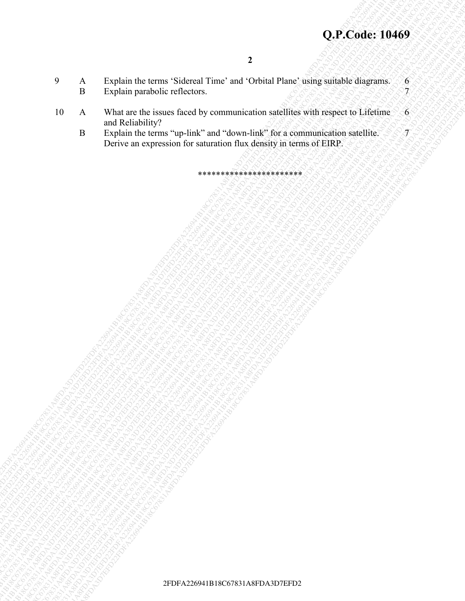- 9 A Explain the terms 'Sidereal Time' and 'Orbital Plane' using suitable diagrams. 6 B Explain parabolic reflectors.
- 2FDFA226941B18C67831A8FDA3D7EFD22FDFA226941B18C67831A8FDA3D7EFD22FDFA226941B18C67831A8FDA3D7EFD22FDFA226941B18C67831A8FDA3D7EFD22FDFA226941B18C67831A8FDA3D7EFD22FDFA226941B18C67831A8FDA3D7EFD2 **2P**<br>
2P<br>
2P<br>
2P A System the terms "System" and "Comain Plane" is operated engraves as<br>
2P Strain particular and the constrained engraves and the constrained engraves as<br>
2P A System to the real of the composite of the co 2<br>
9 A Inspirate the team is shared Team and China and Four samples inspirans and<br>
18 A Bright Radio Records (and the share of the share of the share of the share of the share of the share of<br>
18 Black Black Black Black B **2FDFA2268419499**<br>
2FTA22681A8FDA3D7EFRAC26781A8FDA3D7EFD22FDA3D7EFD22FDFA226941B18C6781A8FDA3D7EFD226941B18C6781A8FDA3D7EFD226941B18C6781A8FDA3D7EFD226731A8FDA3D7EFD2269426941B18C6781A8FDA3D7EFD2269426941B18C6781A8FDA3D7E 2PLACOde: 19469<br>
2PLACOde: 19469<br>
2PLACE the twent we have control three and Control through a specified the two stars are presented through a specified the two stars are presented through a specified through a specified t **2DFA2C6dee 10469**<br>
2DFA2266841B18C67841A8706641267842641B18C67841A8FDA3D7EFD22641B18C67844A8FDA3D7EFD22644A8FDA3D7EFD2264A8FDA3D7EFD22644A8FDA3D7EFD2264A8FDA3D7EFD2264A8FDA3D7EFD2264A8FDA3D7EFD22674264A8FDA3D7EFD2264A8FD **2DFA2C6dee 10469**<br>
2DFA2266841B18C67841A8706641267842641B18C67841A8FDA3D7EFD22641B18C67844A8FDA3D7EFD22644A8FDA3D7EFD2264A8FDA3D7EFD22644A8FDA3D7EFD2264A8FDA3D7EFD2264A8FDA3D7EFD2264A8FDA3D7EFD22674264A8FDA3D7EFD2264A8FD **2DFA2C6dee 10469**<br>
2DFA2266841B18C67841A8706641267842641B18C67841A8FDA3D7EFD22641B18C67844A8FDA3D7EFD22644A8FDA3D7EFD2264A8FDA3D7EFD22644A8FDA3D7EFD2264A8FDA3D7EFD2264A8FDA3D7EFD2264A8FDA3D7EFD22674264A8FDA3D7EFD2264A8FD **2DFA2C6dee 10469**<br>
2DFA2266841B18C67841A8706641267842641B18C67841A8FDA3D7EFD22641B18C67844A8FDA3D7EFD22644A8FDA3D7EFD2264A8FDA3D7EFD22644A8FDA3D7EFD2264A8FDA3D7EFD2264A8FDA3D7EFD2264A8FDA3D7EFD22674264A8FDA3D7EFD2264A8FD **2DFA2C6dee 10469**<br>
2DFA2266841B18C67841A8706641267842641B18C67841A8FDA3D7EFD22641B18C67844A8FDA3D7EFD22644A8FDA3D7EFD2264A8FDA3D7EFD22644A8FDA3D7EFD2264A8FDA3D7EFD2264A8FDA3D7EFD2264A8FDA3D7EFD22674264A8FDA3D7EFD2264A8FD **2DFA2C6dee 10469**<br>
2DFA2266841B18C67841A8706641267842641B18C67841A8FDA3D7EFD22641B18C67844A8FDA3D7EFD22644A8FDA3D7EFD2264A8FDA3D7EFD22644A8FDA3D7EFD2264A8FDA3D7EFD2264A8FDA3D7EFD2264A8FDA3D7EFD22674264A8FDA3D7EFD2264A8FD **2DFA2C6dee 10469**<br>
2DFA2266841B18C67841A8706641267842641B18C67841A8FDA3D7EFD22641B18C67844A8FDA3D7EFD22644A8FDA3D7EFD2264A8FDA3D7EFD22644A8FDA3D7EFD2264A8FDA3D7EFD2264A8FDA3D7EFD2264A8FDA3D7EFD22674264A8FDA3D7EFD2264A8FD **2DFA2C6dee 10469**<br>
2DFA2266841B18C67841A8706641267842641B18C67841A8FDA3D7EFD22641B18C67844A8FDA3D7EFD22644A8FDA3D7EFD2264A8FDA3D7EFD22644A8FDA3D7EFD2264A8FDA3D7EFD2264A8FDA3D7EFD2264A8FDA3D7EFD22674264A8FDA3D7EFD2264A8FD **2DFA2266819489**<br>
2DFA2261A8FDFA22641B18C678481A8FDA3D7EFD22694264A8FDA3D7EFD226<br>
2DFA2264A8FDA3D7EFD22694A8FDA3D7EFD22694A8FDA3D7EFD22694A8FDA3D7EFD22694A8FDA3D7EFD22694A8FDA3D7EFD22694A8FDA3D7EFD22<br>
2DFA22694A8FDA3D7EFD **2DFCOde: 10469**<br>
2FDFA2481A8-b18030-31A860-61A860-41A860-41A860-41A860-41A860-41A860-41A860-41A860-41A8FDA3D7EFD226944<br>
10 A. White are de two streets that we are deposited to the communication of the property of the com 2FDFA226819449<br>
2FDFA226841B18C67831A8FDA3D7EFD22FDFA226941A8FDA3D7EFD22FDFA226941B18C67831A8FDA3D7EFD22FDFA3D7EFD22<br>
2FDFA22641B18C6781A8FDA3D7EFD22FDFA226941B18C67841B18C67841B18C67841A8FDA3D7EFD22<br>
2FDFA226941B18C6781A8 2FDFA226941B18C67841A8FDA3D7EFD22FDFA226941B18C67831A8FDA3D7EFD226941B18C67831A8FDA3D7EFD226941B18C67831A8FDA3D7EFD226941B18C67831A8FDA3D7EFD226941B18C67831A8FDA3D7EFD226941B18C67831A8FDA3D7EFD227641B18C67831A8FDA3D7EFD226 2FDFA226941B18C6781A8FDA3D7EFD22FDFA226941B18C67831A8FDA3D7EFD22<br>
2FDFA226841B18C67831A8FDA3D7EFD22FDFA226941B18C6781A8FDA3D7EFD226941B18C678431A8FDA3D7EFD22<br>
2FDFA226941B18C8781A8FDA3D7EFD22<br>
2FDFA226941B18C87844A8FDA3D7E 2FDFA226941B18C67831A8FDA3D7EFD22FDFA226941B18C67831A8FDA3D7EFD22FDFA226941B18C67831A8FDA3D7EFD22FDFA226941B18C67831A8FDA3D7EFD22FDFA226941B18C67831A8FDA3D7EFD22FDFA226941B18C67831A8FDA3D7EFD2 2FDFA226941B18C67831A8FDA3D7EFD22FDFA226941B18C67831A8FDA3D7EFD22FDFA226941B18C67831A8FDA3D7EFD22FDFA226941B18C67831A8FDA3D7EFD22FDFA226941B18C67831A8FDA3D7EFD22FDFA226941B18C67831A8FDA3D7EFD2 10 A What are the issues faced by communication satellites with respect to Lifetime and Reliability?  $6^{\circ}$  $\overline{\mathcal{J}}$ 
	- B Explain the terms "up-link" and "down-link" for a communication satellite. Derive an expression for saturation flux density in terms of EIRP.

\*\*\*\*\*\*\*\*\*\*\*\*\*\*\*\*\*\*\*\*\*\*\*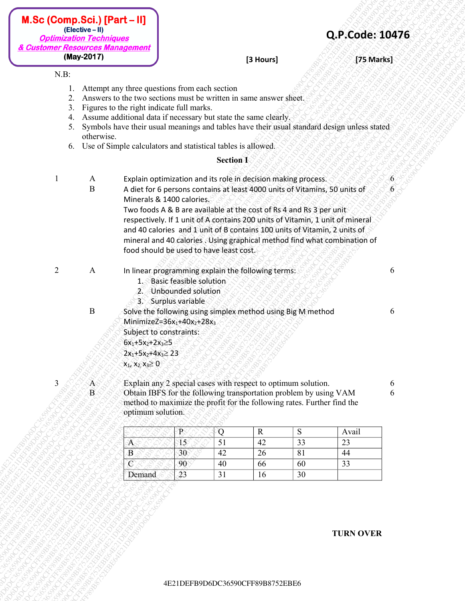| $M.Sc$ (Comp.Sci.) $[Part - II]$ |
|----------------------------------|
| (Elective - II)                  |
| <b>Optimization Techniques</b>   |
| & Customer Resources Management  |
| (May-2017)                       |

- 1. Attempt any three questions from each section
- 2. Answers to the two sections must be written in same answer sheet.
- 3. Figures to the right indicate full marks.
- 4. Assume additional data if necessary but state the same clearly.
- 5. Symbols have their usual meanings and tables have their usual standard design unless stated otherwise.
- 6. Use of Simple calculators and statistical tables is allowed.

### **Section I**

- 1 A Explain optimization and its role in decision making process. 6
	- B A diet for 6 persons contains at least 4000 units of Vitamins, 50 units of Minerals & 1400 calories. Two foods A & B are available at the cost of Rs 4 and Rs 3 per unit

- 2 A In linear programming explain the following terms:
	- 1. Basic feasible solution
	- 2. Unbounded solution
	- 3. Surplus variable
	-
	- B Solve the following using simplex method using Big M method MinimizeZ= $36x_1+40x_2+28x_3$ Subject to constraints:
		- $6x_1+5x_2+2x_3\geq 5$
		- $2x_1+5x_2+4x_3 \geq 23$

|         | <b>Optimization Techniques</b>     | & Customer Resources Management                                                                                                                                                                                                                                                                                                                                                                      |                                                                                                                                      |                       |             |                                                                                                                                                                                                               | Q.P.Code: 10476                                                                                                                                                                                                                                                                                                       |        |
|---------|------------------------------------|------------------------------------------------------------------------------------------------------------------------------------------------------------------------------------------------------------------------------------------------------------------------------------------------------------------------------------------------------------------------------------------------------|--------------------------------------------------------------------------------------------------------------------------------------|-----------------------|-------------|---------------------------------------------------------------------------------------------------------------------------------------------------------------------------------------------------------------|-----------------------------------------------------------------------------------------------------------------------------------------------------------------------------------------------------------------------------------------------------------------------------------------------------------------------|--------|
|         | (May-2017)                         |                                                                                                                                                                                                                                                                                                                                                                                                      |                                                                                                                                      |                       | [3 Hours]   |                                                                                                                                                                                                               | [75 Marks]                                                                                                                                                                                                                                                                                                            |        |
| $N.B$ : | 2.<br>3.<br>4.<br>5.<br>otherwise. | Attempt any three questions from each section<br>Answers to the two sections must be written in same answer sheet.<br>Figures to the right indicate full marks.<br>Assume additional data if necessary but state the same clearly.<br>Symbols have their usual meanings and tables have their usual standard design unless stated<br>6. Use of Simple calculators and statistical tables is allowed. |                                                                                                                                      | <b>Section I</b>      |             |                                                                                                                                                                                                               |                                                                                                                                                                                                                                                                                                                       |        |
|         | A                                  |                                                                                                                                                                                                                                                                                                                                                                                                      |                                                                                                                                      |                       |             | Explain optimization and its role in decision making process.                                                                                                                                                 |                                                                                                                                                                                                                                                                                                                       | 6      |
|         | $\bf{B}$                           |                                                                                                                                                                                                                                                                                                                                                                                                      | Minerals & 1400 calories<br>food should be used to have least cost.                                                                  |                       |             | Two foods A & B are available at the cost of Rs 4 and Rs 3 per unit                                                                                                                                           | A diet for 6 persons contains at least 4000 units of Vitamins, 50 units of<br>respectively. If 1 unit of A contains 200 units of Vitamin, 1 unit of mineral<br>and 40 calories and 1 unit of B contains 100 units of Vitamin, 2 units of<br>mineral and 40 calories . Using graphical method find what combination of | 6      |
| 2       | A                                  | 1.                                                                                                                                                                                                                                                                                                                                                                                                   | In linear programming explain the following terms:<br><b>Basic feasible solution</b><br>2. Unbounded solution<br>3. Surplus variable |                       |             |                                                                                                                                                                                                               |                                                                                                                                                                                                                                                                                                                       | 6      |
|         | $\mathbf{B}$                       | Subject to constraints:<br>$6x_1+5x_2+2x_3 \ge 5$<br>$2x_1+5x_2+4x_3 \ge 23$<br>$x_1, x_2, x_3 \ge 0$                                                                                                                                                                                                                                                                                                | MinimizeZ= $36x_1+40x_2+28x_3$                                                                                                       |                       |             | Solve the following using simplex method using Big M method                                                                                                                                                   |                                                                                                                                                                                                                                                                                                                       | 6      |
| 3       | A<br>$\overline{B}$                | optimum solution.                                                                                                                                                                                                                                                                                                                                                                                    |                                                                                                                                      |                       |             | Explain any 2 special cases with respect to optimum solution.<br>Obtain IBFS for the following transportation problem by using VAM<br>method to maximize the profit for the following rates. Further find the |                                                                                                                                                                                                                                                                                                                       | 6<br>6 |
|         |                                    |                                                                                                                                                                                                                                                                                                                                                                                                      | $\mathbf{R}$                                                                                                                         | Q                     | $\mathbf R$ | S                                                                                                                                                                                                             | Avail                                                                                                                                                                                                                                                                                                                 |        |
|         |                                    | Α<br>B                                                                                                                                                                                                                                                                                                                                                                                               | $\overline{15}$<br>30                                                                                                                | $\overline{51}$<br>42 | 42<br>26    | 33<br>$\overline{81}$                                                                                                                                                                                         | 23<br>44                                                                                                                                                                                                                                                                                                              |        |
|         |                                    | $\mathcal{C}$                                                                                                                                                                                                                                                                                                                                                                                        | 90                                                                                                                                   | 40                    | 66          | 60                                                                                                                                                                                                            | 33                                                                                                                                                                                                                                                                                                                    |        |
|         |                                    | Demand                                                                                                                                                                                                                                                                                                                                                                                               | 23                                                                                                                                   | 31                    | 16          | 30                                                                                                                                                                                                            |                                                                                                                                                                                                                                                                                                                       |        |
|         |                                    |                                                                                                                                                                                                                                                                                                                                                                                                      |                                                                                                                                      |                       |             |                                                                                                                                                                                                               | <b>TURN OVER</b>                                                                                                                                                                                                                                                                                                      |        |

### **TURN OVER**